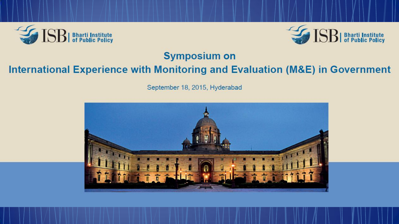



### **Symposium on**

### International Experience with Monitoring and Evaluation (M&E) in Government

September 18, 2015, Hyderabad

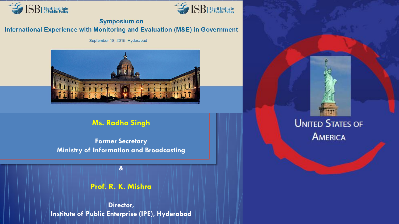



#### **Symposium on**

#### International Experience with Monitoring and Evaluation (M&E) in Government

September 18, 2015, Hyderabad



#### **Ms. Radha Singh**

**Former Secretary Ministry of Information and Broadcasting**

**Prof. R. K. Mishra** 

**&** 

**Director, Institute of Public Enterprise (IPE), Hyderabad**

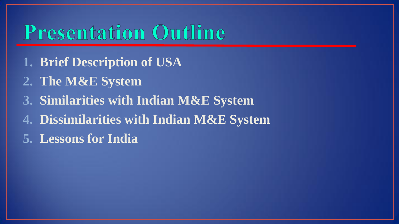# **Presentation Outline**

- **1. Brief Description of USA**
- **2. The M&E System**
- **3. Similarities with Indian M&E System**
- **4. Dissimilarities with Indian M&E System**
- **5. Lessons for India**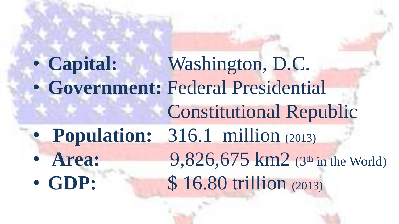• **Capital:** Washington, D.C. • **Government:** Federal Presidential Constitutional Republic • **Population:** 316.1 million (2013) • **Area:** 9,826,675 km2 (3<sup>th</sup> in the World) • GDP: \$16.80 trillion (2013)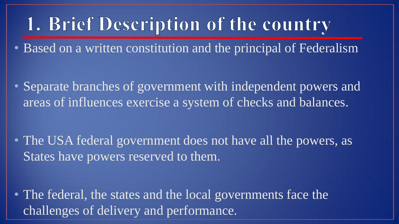# 1. Brief Description of the country

• Based on a written constitution and the principal of Federalism

• Separate branches of government with independent powers and areas of influences exercise a system of checks and balances.

• The USA federal government does not have all the powers, as States have powers reserved to them.

• The federal, the states and the local governments face the challenges of delivery and performance.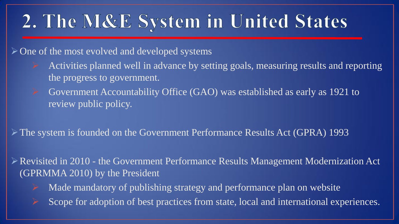# 2. The M&E System in United States

 $\triangleright$  One of the most evolved and developed systems

- Activities planned well in advance by setting goals, measuring results and reporting the progress to government.
- $\triangleright$  Government Accountability Office (GAO) was established as early as 1921 to review public policy.

The system is founded on the Government Performance Results Act (GPRA) 1993

Revisited in 2010 - the Government Performance Results Management Modernization Act (GPRMMA 2010) by the President

- Made mandatory of publishing strategy and performance plan on website
- Scope for adoption of best practices from state, local and international experiences.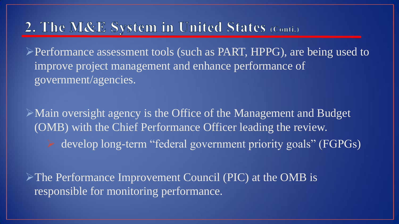## 2. The M&E System in United States (Conti.)

Performance assessment tools (such as PART, HPPG), are being used to improve project management and enhance performance of government/agencies.

Main oversight agency is the Office of the Management and Budget (OMB) with the Chief Performance Officer leading the review. develop long-term "federal government priority goals" (FGPGs)

The Performance Improvement Council (PIC) at the OMB is responsible for monitoring performance.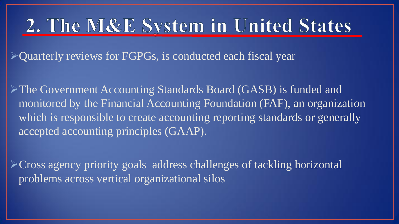# 2. The M&E System in United States

Quarterly reviews for FGPGs, is conducted each fiscal year

The Government Accounting Standards Board (GASB) is funded and monitored by the Financial Accounting Foundation (FAF), an organization which is responsible to create accounting reporting standards or generally accepted accounting principles (GAAP).

Cross agency priority goals address challenges of tackling horizontal problems across vertical organizational silos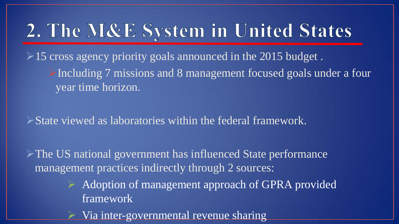# 2. The M&E System in United States

 $\geq$  15 cross agency priority goals announced in the 2015 budget. Including 7 missions and 8 management focused goals under a four year time horizon.

State viewed as laboratories within the federal framework.

The US national government has influenced State performance management practices indirectly through 2 sources:

> Adoption of management approach of GPRA provided framework

Via inter-governmental revenue sharing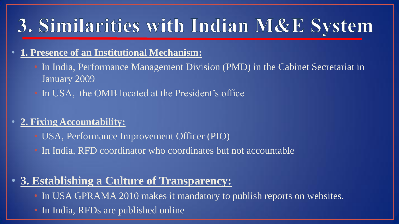# 3. Similarities with Indian M&E System

#### • **1. Presence of an Institutional Mechanism:**

- In India, Performance Management Division (PMD) in the Cabinet Secretariat in January 2009
- In USA, the OMB located at the President's office

### • **2. Fixing Accountability:**

- USA, Performance Improvement Officer (PIO)
- In India, RFD coordinator who coordinates but not accountable

### • **3. Establishing a Culture of Transparency:**

- In USA GPRAMA 2010 makes it mandatory to publish reports on websites.
- In India, RFDs are published online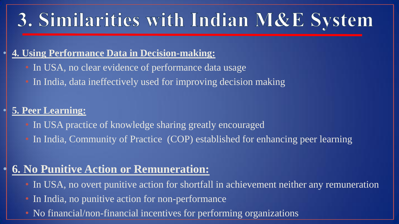# 3. Similarities with Indian M&E System

### • **4. Using Performance Data in Decision-making:**

- In USA, no clear evidence of performance data usage
- In India, data ineffectively used for improving decision making

### • **5. Peer Learning:**

- In USA practice of knowledge sharing greatly encouraged
- In India, Community of Practice (COP) established for enhancing peer learning

### • **6. No Punitive Action or Remuneration:**

- In USA, no overt punitive action for shortfall in achievement neither any remuneration
- In India, no punitive action for non-performance
- No financial/non-financial incentives for performing organizations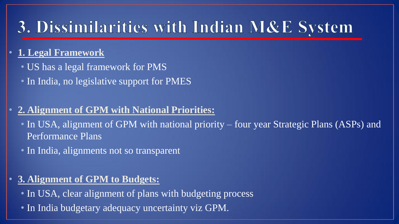## 3. Dissimilarities with Indian M&E System

### • **1. Legal Framework**

- US has a legal framework for PMS
- In India, no legislative support for PMES

### • **2. Alignment of GPM with National Priorities:**

- In USA, alignment of GPM with national priority four year Strategic Plans (ASPs) and Performance Plans
- In India, alignments not so transparent

### • **3. Alignment of GPM to Budgets:**

- In USA, clear alignment of plans with budgeting process
- In India budgetary adequacy uncertainty viz GPM.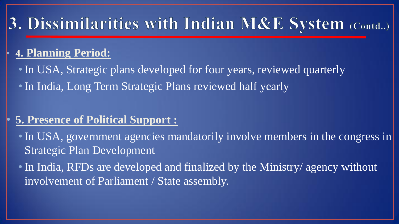## 3. Dissimilarities with Indian M&E System (Contd..)

### • **4. Planning Period:**

• In USA, Strategic plans developed for four years, reviewed quarterly • In India, Long Term Strategic Plans reviewed half yearly

### • **5. Presence of Political Support :**

• In USA, government agencies mandatorily involve members in the congress in Strategic Plan Development

• In India, RFDs are developed and finalized by the Ministry/ agency without involvement of Parliament / State assembly.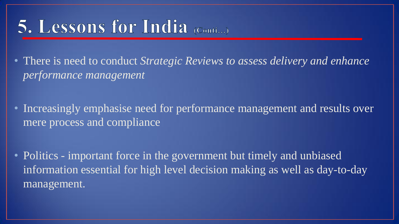## 5. Lessons for India (Conti...)

• There is need to conduct *Strategic Reviews to assess delivery and enhance performance management* 

- Increasingly emphasise need for performance management and results over mere process and compliance
- Politics important force in the government but timely and unbiased information essential for high level decision making as well as day-to-day management.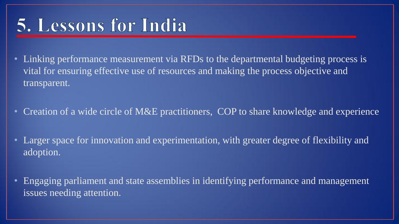# 5. Lessons for India

- Linking performance measurement via RFDs to the departmental budgeting process is vital for ensuring effective use of resources and making the process objective and transparent.
- Creation of a wide circle of M&E practitioners, COP to share knowledge and experience
- Larger space for innovation and experimentation, with greater degree of flexibility and adoption.
- Engaging parliament and state assemblies in identifying performance and management issues needing attention.